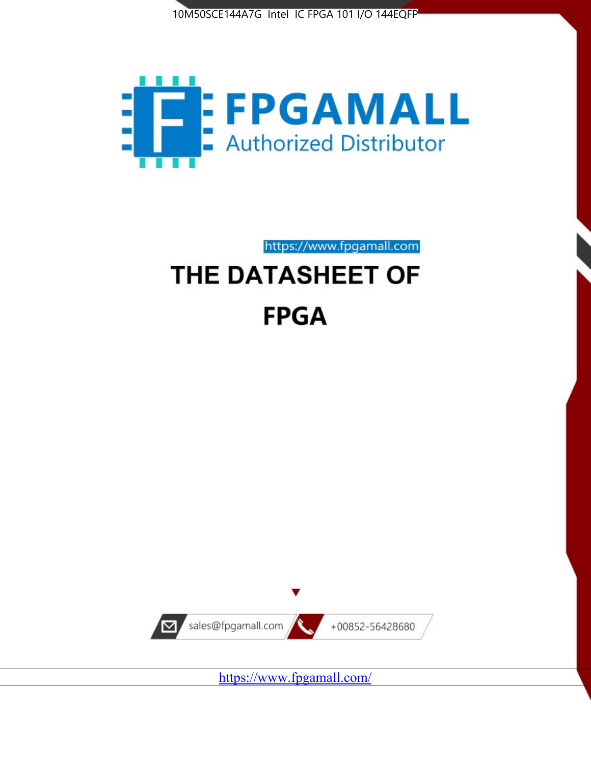



https://www.fpgamall.com

# THE DATASHEET OF **FPGA**



<https://www.fpgamall.com/>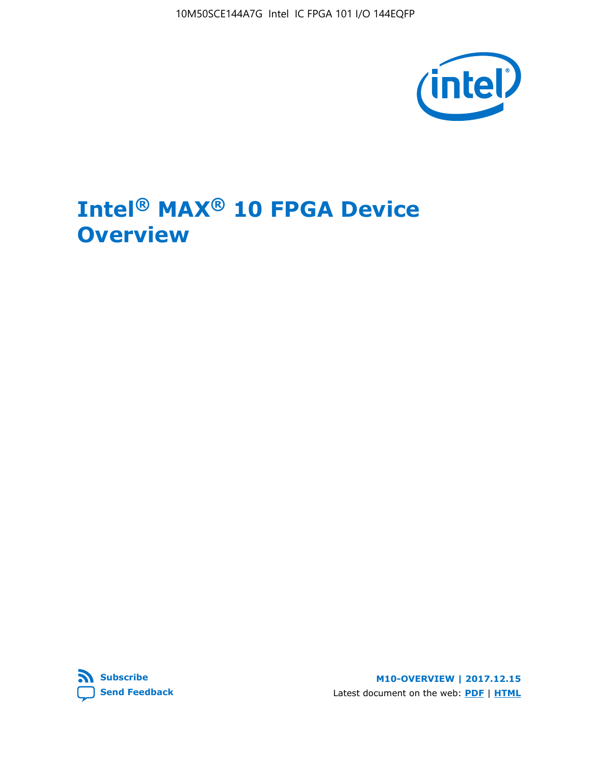10M50SCE144A7G Intel IC FPGA 101 I/O 144EQFP



# **Intel® MAX® 10 FPGA Device Overview**



**M10-OVERVIEW | 2017.12.15** Latest document on the web: **[PDF](https://www.altera.com/en_US/pdfs/literature/hb/max-10/m10_overview.pdf)** | **[HTML](https://www.altera.com/documentation/myt1396938463674.html)**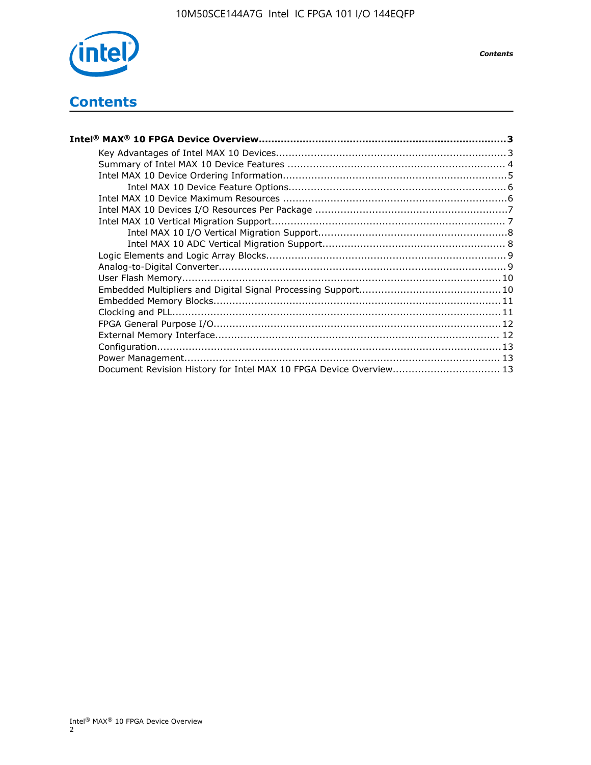

# **Contents**

| Intel® MAX® 10 FPGA Device Overview……………………………………………………………………………3  |  |
|--------------------------------------------------------------------|--|
|                                                                    |  |
|                                                                    |  |
|                                                                    |  |
|                                                                    |  |
|                                                                    |  |
|                                                                    |  |
|                                                                    |  |
|                                                                    |  |
|                                                                    |  |
|                                                                    |  |
|                                                                    |  |
|                                                                    |  |
|                                                                    |  |
|                                                                    |  |
|                                                                    |  |
|                                                                    |  |
|                                                                    |  |
|                                                                    |  |
|                                                                    |  |
| Document Revision History for Intel MAX 10 FPGA Device Overview 13 |  |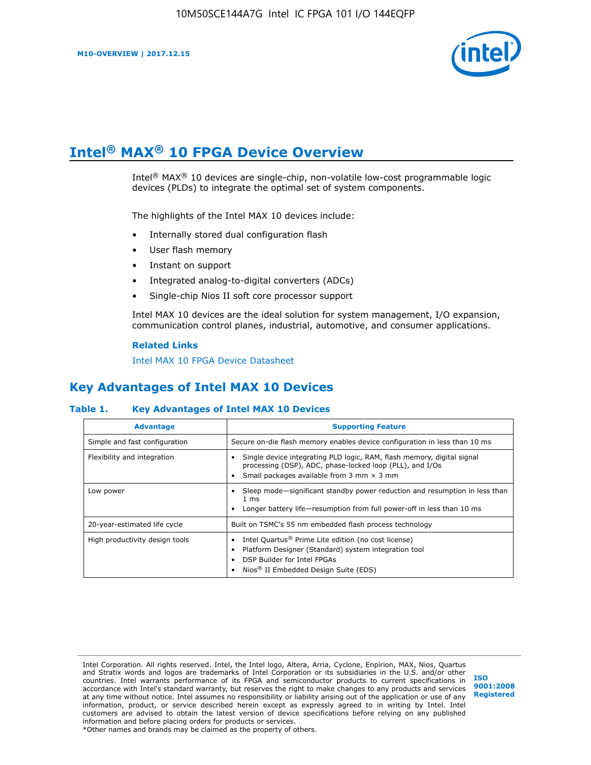

# **Intel® MAX® 10 FPGA Device Overview**

Intel® MAX® 10 devices are single-chip, non-volatile low-cost programmable logic devices (PLDs) to integrate the optimal set of system components.

The highlights of the Intel MAX 10 devices include:

- Internally stored dual configuration flash
- User flash memory
- Instant on support
- Integrated analog-to-digital converters (ADCs)
- Single-chip Nios II soft core processor support

Intel MAX 10 devices are the ideal solution for system management, I/O expansion, communication control planes, industrial, automotive, and consumer applications.

#### **Related Links**

[Intel MAX 10 FPGA Device Datasheet](https://www.altera.com/documentation/mcn1397700832153.html#mcn1397643748870)

## **Key Advantages of Intel MAX 10 Devices**

#### **Table 1. Key Advantages of Intel MAX 10 Devices**

| <b>Advantage</b>               | <b>Supporting Feature</b>                                                                                                                                                                                  |
|--------------------------------|------------------------------------------------------------------------------------------------------------------------------------------------------------------------------------------------------------|
| Simple and fast configuration  | Secure on-die flash memory enables device configuration in less than 10 ms                                                                                                                                 |
| Flexibility and integration    | Single device integrating PLD logic, RAM, flash memory, digital signal<br>processing (DSP), ADC, phase-locked loop (PLL), and I/Os<br>Small packages available from 3 mm $\times$ 3 mm                     |
| Low power                      | Sleep mode—significant standby power reduction and resumption in less than<br>$1 \text{ ms}$<br>Longer battery life-resumption from full power-off in less than 10 ms                                      |
| 20-year-estimated life cycle   | Built on TSMC's 55 nm embedded flash process technology                                                                                                                                                    |
| High productivity design tools | Intel Quartus <sup>®</sup> Prime Lite edition (no cost license)<br>Platform Designer (Standard) system integration tool<br>DSP Builder for Intel FPGAs<br>Nios <sup>®</sup> II Embedded Design Suite (EDS) |

Intel Corporation. All rights reserved. Intel, the Intel logo, Altera, Arria, Cyclone, Enpirion, MAX, Nios, Quartus and Stratix words and logos are trademarks of Intel Corporation or its subsidiaries in the U.S. and/or other countries. Intel warrants performance of its FPGA and semiconductor products to current specifications in accordance with Intel's standard warranty, but reserves the right to make changes to any products and services at any time without notice. Intel assumes no responsibility or liability arising out of the application or use of any information, product, or service described herein except as expressly agreed to in writing by Intel. Intel customers are advised to obtain the latest version of device specifications before relying on any published information and before placing orders for products or services. \*Other names and brands may be claimed as the property of others.

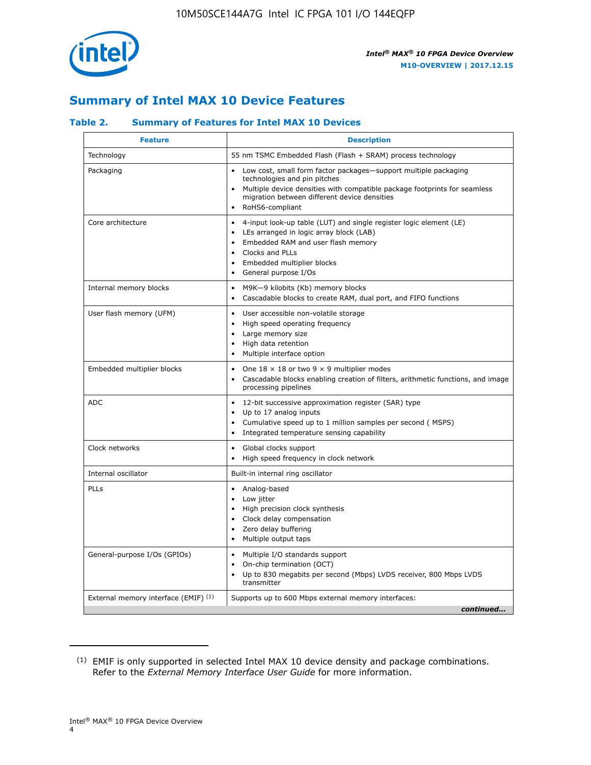

## **Summary of Intel MAX 10 Device Features**

## **Table 2. Summary of Features for Intel MAX 10 Devices**

| <b>Feature</b>                       | <b>Description</b>                                                                                                                                                                                                                                                  |
|--------------------------------------|---------------------------------------------------------------------------------------------------------------------------------------------------------------------------------------------------------------------------------------------------------------------|
| Technology                           | 55 nm TSMC Embedded Flash (Flash + SRAM) process technology                                                                                                                                                                                                         |
| Packaging                            | Low cost, small form factor packages-support multiple packaging<br>technologies and pin pitches<br>Multiple device densities with compatible package footprints for seamless<br>migration between different device densities<br>RoHS6-compliant                     |
| Core architecture                    | 4-input look-up table (LUT) and single register logic element (LE)<br>$\bullet$<br>LEs arranged in logic array block (LAB)<br>$\bullet$<br>Embedded RAM and user flash memory<br>Clocks and PLLs<br>$\bullet$<br>Embedded multiplier blocks<br>General purpose I/Os |
| Internal memory blocks               | M9K-9 kilobits (Kb) memory blocks<br>$\bullet$<br>Cascadable blocks to create RAM, dual port, and FIFO functions<br>$\bullet$                                                                                                                                       |
| User flash memory (UFM)              | User accessible non-volatile storage<br>$\bullet$<br>High speed operating frequency<br>$\bullet$<br>Large memory size<br>$\bullet$<br>High data retention<br>$\bullet$<br>Multiple interface option                                                                 |
| Embedded multiplier blocks           | One $18 \times 18$ or two 9 $\times$ 9 multiplier modes<br>$\bullet$<br>Cascadable blocks enabling creation of filters, arithmetic functions, and image<br>processing pipelines                                                                                     |
| <b>ADC</b>                           | 12-bit successive approximation register (SAR) type<br>$\bullet$<br>Up to 17 analog inputs<br>$\bullet$<br>Cumulative speed up to 1 million samples per second (MSPS)<br>Integrated temperature sensing capability                                                  |
| Clock networks                       | Global clocks support<br>$\bullet$<br>High speed frequency in clock network                                                                                                                                                                                         |
| Internal oscillator                  | Built-in internal ring oscillator                                                                                                                                                                                                                                   |
| PLLs                                 | Analog-based<br>$\bullet$<br>Low jitter<br>$\bullet$<br>High precision clock synthesis<br>Clock delay compensation<br>$\bullet$<br>Zero delay buffering<br>$\bullet$<br>Multiple output taps<br>$\bullet$                                                           |
| General-purpose I/Os (GPIOs)         | Multiple I/O standards support<br>$\bullet$<br>On-chip termination (OCT)<br>$\bullet$<br>Up to 830 megabits per second (Mbps) LVDS receiver, 800 Mbps LVDS<br>transmitter                                                                                           |
| External memory interface (EMIF) (1) | Supports up to 600 Mbps external memory interfaces:<br>continued                                                                                                                                                                                                    |

<sup>(1)</sup> EMIF is only supported in selected Intel MAX 10 device density and package combinations. Refer to the *External Memory Interface User Guide* for more information.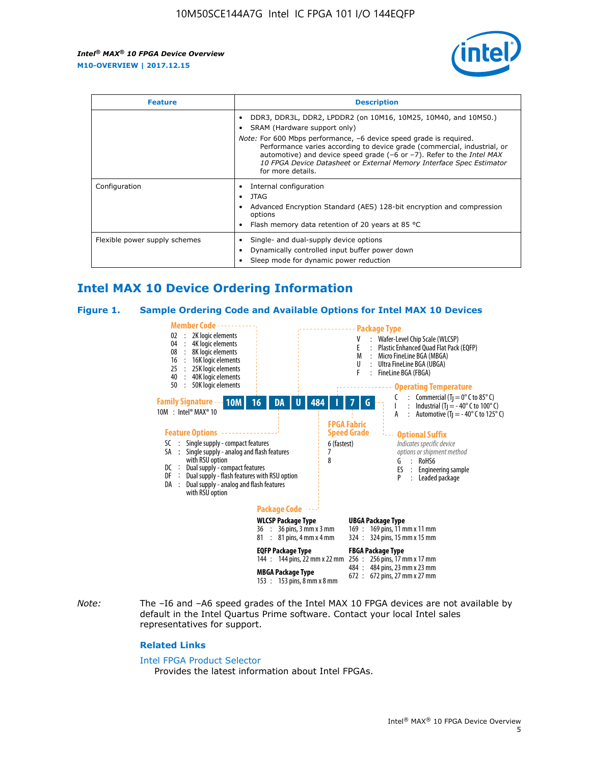

| <b>Feature</b>                | <b>Description</b>                                                                                                                                                                                                                                                                                                                                                                                                                               |  |  |  |
|-------------------------------|--------------------------------------------------------------------------------------------------------------------------------------------------------------------------------------------------------------------------------------------------------------------------------------------------------------------------------------------------------------------------------------------------------------------------------------------------|--|--|--|
|                               | DDR3, DDR3L, DDR2, LPDDR2 (on 10M16, 10M25, 10M40, and 10M50.)<br>SRAM (Hardware support only)<br><i>Note:</i> For 600 Mbps performance, -6 device speed grade is required.<br>Performance varies according to device grade (commercial, industrial, or<br>automotive) and device speed grade $(-6 \text{ or } -7)$ . Refer to the <i>Intel MAX</i><br>10 FPGA Device Datasheet or External Memory Interface Spec Estimator<br>for more details. |  |  |  |
| Configuration                 | Internal configuration<br>JTAG<br>٠<br>Advanced Encryption Standard (AES) 128-bit encryption and compression<br>options<br>Flash memory data retention of 20 years at 85 $^{\circ}$ C                                                                                                                                                                                                                                                            |  |  |  |
| Flexible power supply schemes | Single- and dual-supply device options<br>Dynamically controlled input buffer power down<br>Sleep mode for dynamic power reduction                                                                                                                                                                                                                                                                                                               |  |  |  |

## **Intel MAX 10 Device Ordering Information**

#### **Figure 1. Sample Ordering Code and Available Options for Intel MAX 10 Devices**



*Note:* The –I6 and –A6 speed grades of the Intel MAX 10 FPGA devices are not available by default in the Intel Quartus Prime software. Contact your local Intel sales representatives for support.

#### **Related Links**

#### [Intel FPGA Product Selector](http://www.altera.com/products/selector/psg-selector.html)

Provides the latest information about Intel FPGAs.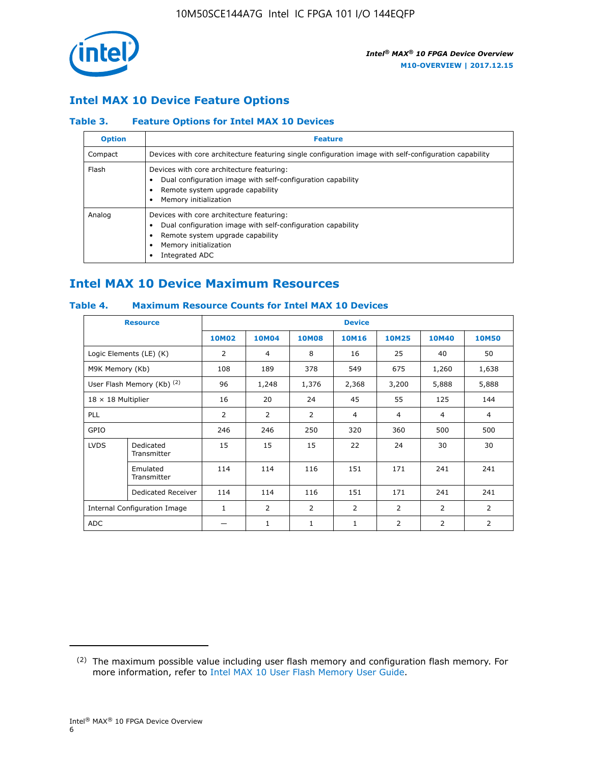

## **Intel MAX 10 Device Feature Options**

### **Table 3. Feature Options for Intel MAX 10 Devices**

| <b>Option</b> | <b>Feature</b>                                                                                                                                                                          |
|---------------|-----------------------------------------------------------------------------------------------------------------------------------------------------------------------------------------|
| Compact       | Devices with core architecture featuring single configuration image with self-configuration capability                                                                                  |
| Flash         | Devices with core architecture featuring:<br>Dual configuration image with self-configuration capability<br>Remote system upgrade capability<br>Memory initialization                   |
| Analog        | Devices with core architecture featuring:<br>Dual configuration image with self-configuration capability<br>Remote system upgrade capability<br>Memory initialization<br>Integrated ADC |

## **Intel MAX 10 Device Maximum Resources**

## **Table 4. Maximum Resource Counts for Intel MAX 10 Devices**

|                           | <b>Resource</b>                     | <b>Device</b> |                |              |                |                |              |                |
|---------------------------|-------------------------------------|---------------|----------------|--------------|----------------|----------------|--------------|----------------|
|                           |                                     | <b>10M02</b>  | 10M04          | <b>10M08</b> | <b>10M16</b>   | <b>10M25</b>   | <b>10M40</b> | <b>10M50</b>   |
|                           | Logic Elements (LE) (K)             | 2             | 4              | 8            | 16             | 25             | 40           | 50             |
| M9K Memory (Kb)           |                                     | 108           | 189            | 378          | 549            | 675            | 1,260        | 1,638          |
|                           | User Flash Memory (Kb) (2)          | 96            | 1,248          | 1,376        | 2,368          | 3,200          | 5,888        | 5,888          |
| $18 \times 18$ Multiplier |                                     | 16            | 20             | 24           | 45             | 55             | 125          | 144            |
| <b>PLL</b>                |                                     | 2             | $\overline{2}$ | 2            | $\overline{4}$ | $\overline{4}$ | 4            | $\overline{4}$ |
| GPIO                      |                                     | 246           | 246            | 250          | 320            | 360            | 500          | 500            |
| <b>LVDS</b>               | Dedicated<br>Transmitter            | 15            | 15             | 15           | 22             | 24             | 30           | 30             |
|                           | Emulated<br>Transmitter             | 114           | 114            | 116          | 151            | 171            | 241          | 241            |
|                           | Dedicated Receiver                  | 114           | 114            | 116          | 151            | 171            | 241          | 241            |
|                           | <b>Internal Configuration Image</b> | $\mathbf{1}$  | $\overline{2}$ | 2            | $\overline{2}$ | $\overline{2}$ | 2            | $\overline{2}$ |
| ADC                       |                                     |               | 1              | $\mathbf{1}$ | $\mathbf{1}$   | 2              | 2            | 2              |

<sup>(2)</sup> The maximum possible value including user flash memory and configuration flash memory. For more information, refer to [Intel MAX 10 User Flash Memory User Guide](https://www.altera.com/documentation/vgo1395753117436.html#vgo1395811844282).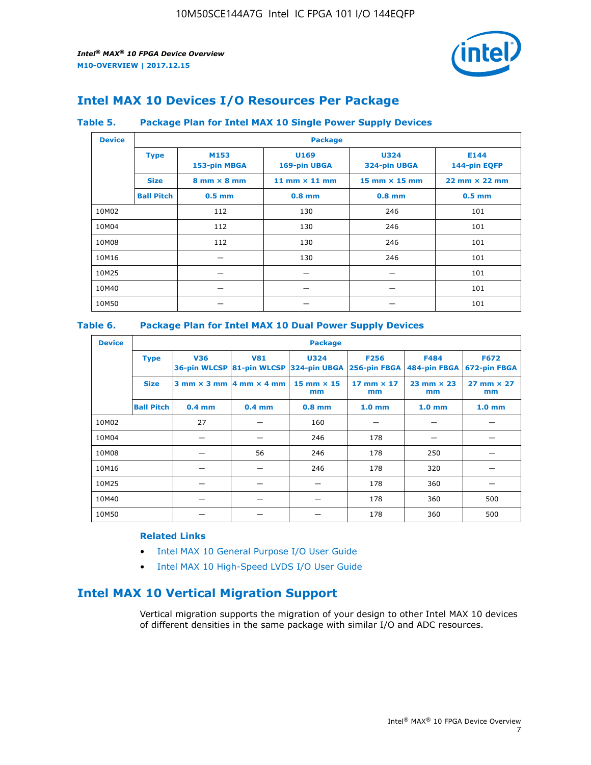

## **Intel MAX 10 Devices I/O Resources Per Package**

#### **Table 5. Package Plan for Intel MAX 10 Single Power Supply Devices**

| <b>Device</b> |                   | <b>Package</b>                     |                      |                             |                                      |  |  |  |
|---------------|-------------------|------------------------------------|----------------------|-----------------------------|--------------------------------------|--|--|--|
|               | <b>Type</b>       | M153<br>153-pin MBGA               | U169<br>169-pin UBGA | <b>U324</b><br>324-pin UBGA | E144<br>144-pin EQFP                 |  |  |  |
|               | <b>Size</b>       | $8 \text{ mm} \times 8 \text{ mm}$ | 11 mm $\times$ 11 mm | 15 mm $\times$ 15 mm        | $22 \text{ mm} \times 22 \text{ mm}$ |  |  |  |
|               | <b>Ball Pitch</b> | $0.5$ mm                           | $0.8$ mm             | $0.8$ mm                    | $0.5$ mm                             |  |  |  |
| 10M02         |                   | 112                                | 130                  | 246                         | 101                                  |  |  |  |
| 10M04         |                   | 112                                | 130                  | 246                         | 101                                  |  |  |  |
| 10M08         |                   | 112                                | 130                  | 246                         | 101                                  |  |  |  |
| 10M16         |                   |                                    | 130                  | 246                         | 101                                  |  |  |  |
| 10M25         |                   |                                    |                      |                             | 101                                  |  |  |  |
| 10M40         |                   | –                                  |                      |                             | 101                                  |  |  |  |
| 10M50         |                   |                                    |                      |                             | 101                                  |  |  |  |

## **Table 6. Package Plan for Intel MAX 10 Dual Power Supply Devices**

| <b>Device</b> |                   | <b>Package</b> |                                            |                                                                    |                         |                           |                             |  |  |
|---------------|-------------------|----------------|--------------------------------------------|--------------------------------------------------------------------|-------------------------|---------------------------|-----------------------------|--|--|
|               | <b>Type</b>       | <b>V36</b>     | <b>V81</b>                                 | <b>U324</b><br>36-pin WLCSP 81-pin WLCSP 324-pin UBGA 256-pin FBGA | <b>F256</b>             | F484<br>484-pin FBGA      | <b>F672</b><br>672-pin FBGA |  |  |
|               | <b>Size</b>       |                | $3$ mm $\times$ 3 mm $ 4$ mm $\times$ 4 mm | $15$ mm $\times$ 15<br>mm                                          | 17 mm $\times$ 17<br>mm | $23$ mm $\times$ 23<br>mm | $27$ mm $\times$ 27<br>mm   |  |  |
|               | <b>Ball Pitch</b> | $0.4$ mm       | $0.4$ mm                                   | $0.8$ mm                                                           | 1.0 <sub>mm</sub>       | 1.0 <sub>mm</sub>         | 1.0 <sub>mm</sub>           |  |  |
| 10M02         |                   | 27             |                                            | 160                                                                |                         |                           |                             |  |  |
| 10M04         |                   |                |                                            | 246                                                                | 178                     |                           |                             |  |  |
| 10M08         |                   |                | 56                                         | 246                                                                | 178                     | 250                       |                             |  |  |
| 10M16         |                   |                |                                            | 246                                                                | 178                     | 320                       |                             |  |  |
| 10M25         |                   |                |                                            |                                                                    | 178                     | 360                       |                             |  |  |
| 10M40         |                   |                |                                            |                                                                    | 178                     | 360                       | 500                         |  |  |
| 10M50         |                   |                |                                            |                                                                    | 178                     | 360                       | 500                         |  |  |

## **Related Links**

- [Intel MAX 10 General Purpose I/O User Guide](https://www.altera.com/documentation/sam1393999966669.html#sam1394000084476)
- [Intel MAX 10 High-Speed LVDS I/O User Guide](https://www.altera.com/documentation/sam1394433606063.html#sam1394433911642)

## **Intel MAX 10 Vertical Migration Support**

Vertical migration supports the migration of your design to other Intel MAX 10 devices of different densities in the same package with similar I/O and ADC resources.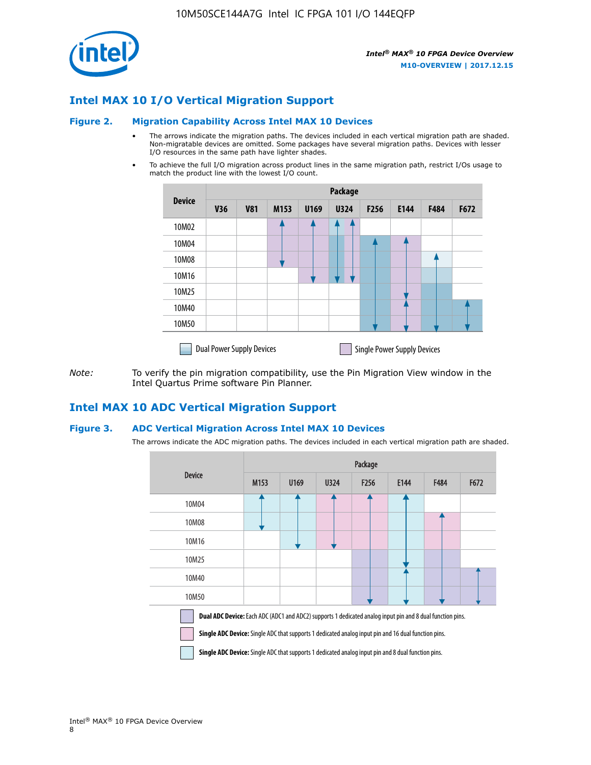

## **Intel MAX 10 I/O Vertical Migration Support**

#### **Figure 2. Migration Capability Across Intel MAX 10 Devices**

- The arrows indicate the migration paths. The devices included in each vertical migration path are shaded. Non-migratable devices are omitted. Some packages have several migration paths. Devices with lesser I/O resources in the same path have lighter shades.
- To achieve the full I/O migration across product lines in the same migration path, restrict I/Os usage to match the product line with the lowest I/O count.

|               | <b>Package</b>                   |            |      |      |             |                  |                                    |      |      |
|---------------|----------------------------------|------------|------|------|-------------|------------------|------------------------------------|------|------|
| <b>Device</b> | <b>V36</b>                       | <b>V81</b> | M153 | U169 | <b>U324</b> | F <sub>256</sub> | E144                               | F484 | F672 |
| 10M02         |                                  |            |      |      | 7           |                  |                                    |      |      |
| 10M04         |                                  |            |      |      |             |                  |                                    |      |      |
| 10M08         |                                  |            |      |      |             |                  |                                    |      |      |
| 10M16         |                                  |            |      |      |             |                  |                                    |      |      |
| 10M25         |                                  |            |      |      |             |                  |                                    |      |      |
| 10M40         |                                  |            |      |      |             |                  |                                    |      |      |
| 10M50         |                                  |            |      |      |             |                  |                                    |      |      |
|               | <b>Dual Power Supply Devices</b> |            |      |      |             |                  | <b>Single Power Supply Devices</b> |      |      |

*Note:* To verify the pin migration compatibility, use the Pin Migration View window in the Intel Quartus Prime software Pin Planner.

## **Intel MAX 10 ADC Vertical Migration Support**

#### **Figure 3. ADC Vertical Migration Across Intel MAX 10 Devices**

The arrows indicate the ADC migration paths. The devices included in each vertical migration path are shaded.

|                                                                                                                                                                                                                         | Package |      |      |                  |      |      |      |  |
|-------------------------------------------------------------------------------------------------------------------------------------------------------------------------------------------------------------------------|---------|------|------|------------------|------|------|------|--|
| <b>Device</b>                                                                                                                                                                                                           | M153    | U169 | U324 | F <sub>256</sub> | E144 | F484 | F672 |  |
| 10M04                                                                                                                                                                                                                   |         |      |      |                  |      |      |      |  |
| 10M08                                                                                                                                                                                                                   |         |      |      |                  |      |      |      |  |
| 10M16                                                                                                                                                                                                                   |         |      |      |                  |      |      |      |  |
| 10M25                                                                                                                                                                                                                   |         |      |      |                  |      |      |      |  |
| 10M40                                                                                                                                                                                                                   |         |      |      |                  |      |      |      |  |
| 10M50                                                                                                                                                                                                                   |         |      |      |                  |      |      |      |  |
| Dual ADC Device: Each ADC (ADC1 and ADC2) supports 1 dedicated analog input pin and 8 dual function pins.<br><b>Single ADC Device:</b> Single ADC that supports 1 dedicated analog input pin and 16 dual function pins. |         |      |      |                  |      |      |      |  |

**Single ADC Device:** Single ADC that supports 1 dedicated analog input pin and 8 dual function pins.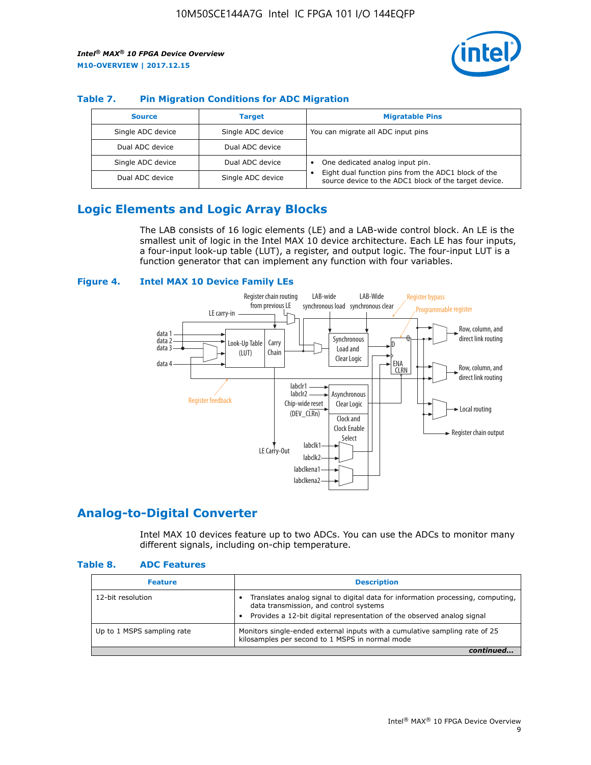

## **Table 7. Pin Migration Conditions for ADC Migration**

| <b>Source</b>     | <b>Target</b>     | <b>Migratable Pins</b>                                                                                            |
|-------------------|-------------------|-------------------------------------------------------------------------------------------------------------------|
| Single ADC device | Single ADC device | You can migrate all ADC input pins                                                                                |
| Dual ADC device   | Dual ADC device   |                                                                                                                   |
| Single ADC device | Dual ADC device   | One dedicated analog input pin.                                                                                   |
| Dual ADC device   | Single ADC device | Eight dual function pins from the ADC1 block of the<br>٠<br>source device to the ADC1 block of the target device. |

## **Logic Elements and Logic Array Blocks**

The LAB consists of 16 logic elements (LE) and a LAB-wide control block. An LE is the smallest unit of logic in the Intel MAX 10 device architecture. Each LE has four inputs, a four-input look-up table (LUT), a register, and output logic. The four-input LUT is a function generator that can implement any function with four variables.

#### **Figure 4. Intel MAX 10 Device Family LEs**



## **Analog-to-Digital Converter**

Intel MAX 10 devices feature up to two ADCs. You can use the ADCs to monitor many different signals, including on-chip temperature.

#### **Table 8. ADC Features**

| <b>Feature</b>             | <b>Description</b>                                                                                                                                                                                  |
|----------------------------|-----------------------------------------------------------------------------------------------------------------------------------------------------------------------------------------------------|
| 12-bit resolution          | Translates analog signal to digital data for information processing, computing,<br>data transmission, and control systems<br>Provides a 12-bit digital representation of the observed analog signal |
| Up to 1 MSPS sampling rate | Monitors single-ended external inputs with a cumulative sampling rate of 25<br>kilosamples per second to 1 MSPS in normal mode                                                                      |
|                            |                                                                                                                                                                                                     |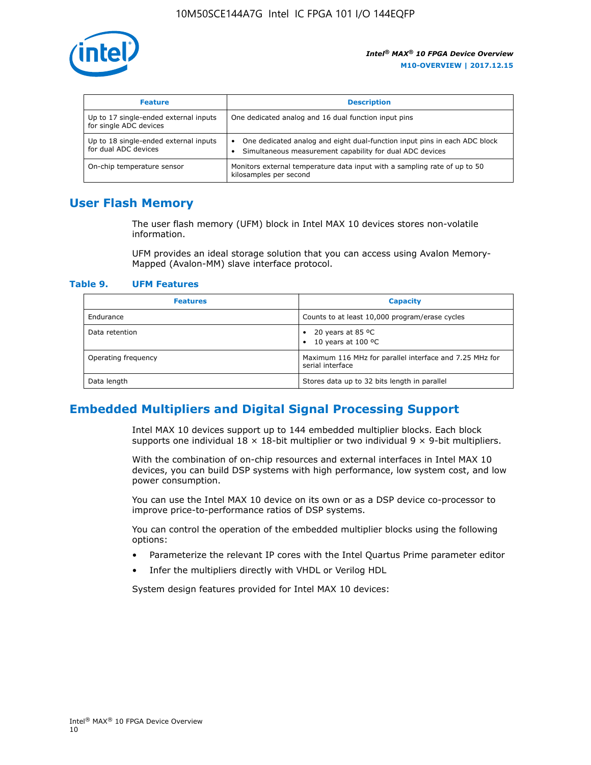

| <b>Feature</b>                                                  | <b>Description</b>                                                                                                                         |
|-----------------------------------------------------------------|--------------------------------------------------------------------------------------------------------------------------------------------|
| Up to 17 single-ended external inputs<br>for single ADC devices | One dedicated analog and 16 dual function input pins                                                                                       |
| Up to 18 single-ended external inputs<br>for dual ADC devices   | One dedicated analog and eight dual-function input pins in each ADC block<br>٠<br>Simultaneous measurement capability for dual ADC devices |
| On-chip temperature sensor                                      | Monitors external temperature data input with a sampling rate of up to 50<br>kilosamples per second                                        |

## **User Flash Memory**

The user flash memory (UFM) block in Intel MAX 10 devices stores non-volatile information.

UFM provides an ideal storage solution that you can access using Avalon Memory-Mapped (Avalon-MM) slave interface protocol.

#### **Table 9. UFM Features**

| <b>Features</b>     | <b>Capacity</b>                                                             |
|---------------------|-----------------------------------------------------------------------------|
| Endurance           | Counts to at least 10,000 program/erase cycles                              |
| Data retention      | 20 years at 85 $^{\circ}$ C<br>٠<br>10 years at 100 °C<br>$\bullet$         |
| Operating frequency | Maximum 116 MHz for parallel interface and 7.25 MHz for<br>serial interface |
| Data length         | Stores data up to 32 bits length in parallel                                |

## **Embedded Multipliers and Digital Signal Processing Support**

Intel MAX 10 devices support up to 144 embedded multiplier blocks. Each block supports one individual  $18 \times 18$ -bit multiplier or two individual  $9 \times 9$ -bit multipliers.

With the combination of on-chip resources and external interfaces in Intel MAX 10 devices, you can build DSP systems with high performance, low system cost, and low power consumption.

You can use the Intel MAX 10 device on its own or as a DSP device co-processor to improve price-to-performance ratios of DSP systems.

You can control the operation of the embedded multiplier blocks using the following options:

- Parameterize the relevant IP cores with the Intel Quartus Prime parameter editor
- Infer the multipliers directly with VHDL or Verilog HDL

System design features provided for Intel MAX 10 devices: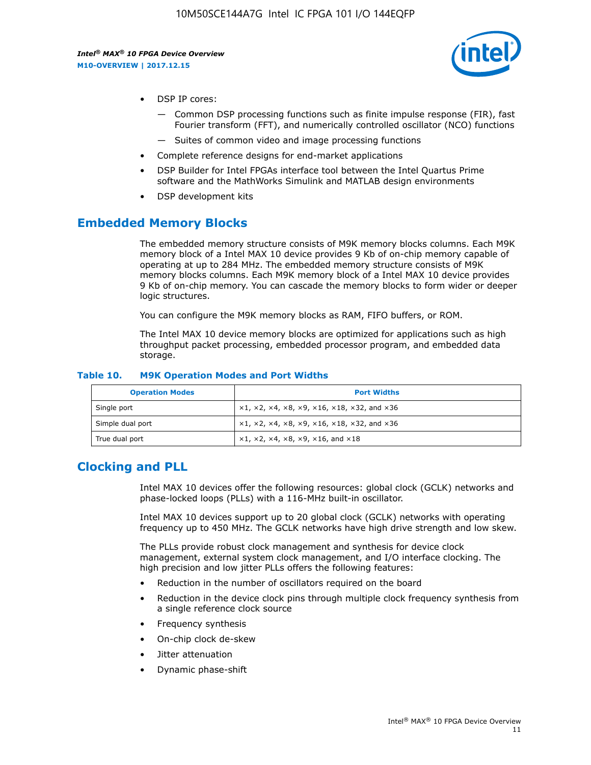

- DSP IP cores:
	- Common DSP processing functions such as finite impulse response (FIR), fast Fourier transform (FFT), and numerically controlled oscillator (NCO) functions
	- Suites of common video and image processing functions
- Complete reference designs for end-market applications
- DSP Builder for Intel FPGAs interface tool between the Intel Quartus Prime software and the MathWorks Simulink and MATLAB design environments
- DSP development kits

## **Embedded Memory Blocks**

The embedded memory structure consists of M9K memory blocks columns. Each M9K memory block of a Intel MAX 10 device provides 9 Kb of on-chip memory capable of operating at up to 284 MHz. The embedded memory structure consists of M9K memory blocks columns. Each M9K memory block of a Intel MAX 10 device provides 9 Kb of on-chip memory. You can cascade the memory blocks to form wider or deeper logic structures.

You can configure the M9K memory blocks as RAM, FIFO buffers, or ROM.

The Intel MAX 10 device memory blocks are optimized for applications such as high throughput packet processing, embedded processor program, and embedded data storage.

| <b>Operation Modes</b> | <b>Port Widths</b>                                                                       |
|------------------------|------------------------------------------------------------------------------------------|
| Single port            | $x1, x2, x4, x8, x9, x16, x18, x32, and x36$                                             |
| Simple dual port       | $x1, x2, x4, x8, x9, x16, x18, x32, and x36$                                             |
| True dual port         | $\times$ 1, $\times$ 2, $\times$ 4, $\times$ 8, $\times$ 9, $\times$ 16, and $\times$ 18 |

#### **Table 10. M9K Operation Modes and Port Widths**

## **Clocking and PLL**

Intel MAX 10 devices offer the following resources: global clock (GCLK) networks and phase-locked loops (PLLs) with a 116-MHz built-in oscillator.

Intel MAX 10 devices support up to 20 global clock (GCLK) networks with operating frequency up to 450 MHz. The GCLK networks have high drive strength and low skew.

The PLLs provide robust clock management and synthesis for device clock management, external system clock management, and I/O interface clocking. The high precision and low jitter PLLs offers the following features:

- Reduction in the number of oscillators required on the board
- Reduction in the device clock pins through multiple clock frequency synthesis from a single reference clock source
- Frequency synthesis
- On-chip clock de-skew
- Jitter attenuation
- Dynamic phase-shift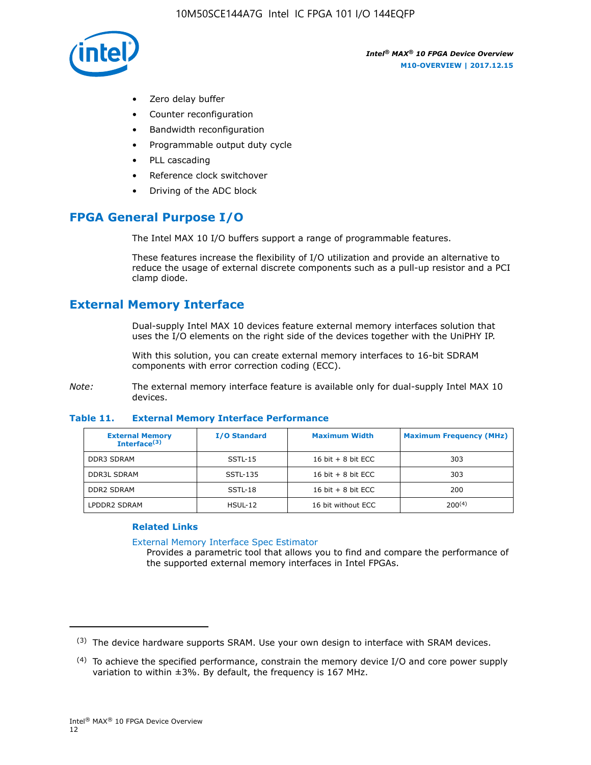

- Zero delay buffer
- Counter reconfiguration
- Bandwidth reconfiguration
- Programmable output duty cycle
- PLL cascading
- Reference clock switchover
- Driving of the ADC block

## **FPGA General Purpose I/O**

The Intel MAX 10 I/O buffers support a range of programmable features.

These features increase the flexibility of I/O utilization and provide an alternative to reduce the usage of external discrete components such as a pull-up resistor and a PCI clamp diode.

## **External Memory Interface**

Dual-supply Intel MAX 10 devices feature external memory interfaces solution that uses the I/O elements on the right side of the devices together with the UniPHY IP.

With this solution, you can create external memory interfaces to 16-bit SDRAM components with error correction coding (ECC).

*Note:* The external memory interface feature is available only for dual-supply Intel MAX 10 devices.

#### **Table 11. External Memory Interface Performance**

| <b>External Memory</b><br>Interface $(3)$ | <b>I/O Standard</b> | <b>Maximum Width</b> | <b>Maximum Frequency (MHz)</b> |
|-------------------------------------------|---------------------|----------------------|--------------------------------|
| <b>DDR3 SDRAM</b>                         | SSTL-15             | 16 bit $+8$ bit ECC  | 303                            |
| <b>DDR3L SDRAM</b>                        | SSTL-135            | 16 bit $+8$ bit ECC  | 303                            |
| <b>DDR2 SDRAM</b>                         | SSTL-18             | 16 bit $+8$ bit ECC  | 200                            |
| LPDDR2 SDRAM                              | $H$ SUL-12          | 16 bit without ECC   | 200(4)                         |

#### **Related Links**

[External Memory Interface Spec Estimator](http://www.altera.com/technology/memory/estimator/mem-emif-index.html)

Provides a parametric tool that allows you to find and compare the performance of the supported external memory interfaces in Intel FPGAs.

 $(3)$  The device hardware supports SRAM. Use your own design to interface with SRAM devices.

 $(4)$  To achieve the specified performance, constrain the memory device I/O and core power supply variation to within ±3%. By default, the frequency is 167 MHz.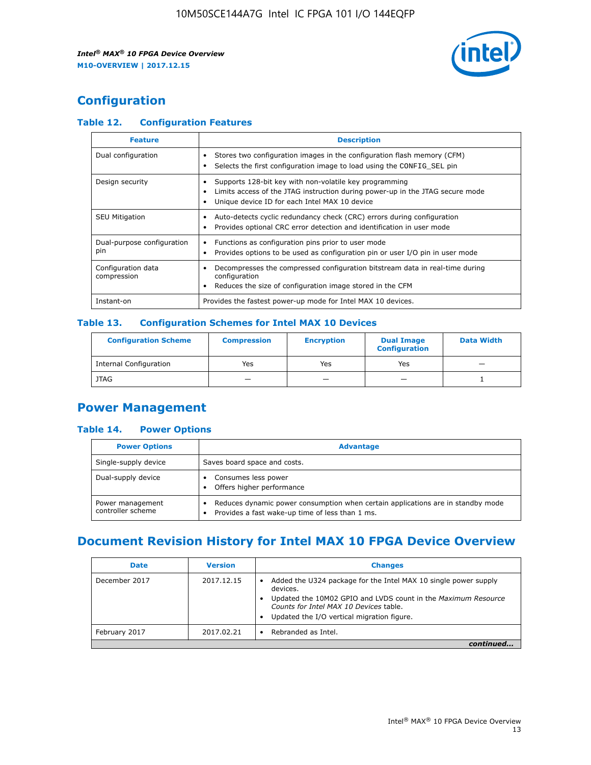

## **Configuration**

## **Table 12. Configuration Features**

| <b>Feature</b>                    | <b>Description</b>                                                                                                                                                                       |
|-----------------------------------|------------------------------------------------------------------------------------------------------------------------------------------------------------------------------------------|
| Dual configuration                | Stores two configuration images in the configuration flash memory (CFM)<br>Selects the first configuration image to load using the CONFIG SEL pin                                        |
| Design security                   | Supports 128-bit key with non-volatile key programming<br>Limits access of the JTAG instruction during power-up in the JTAG secure mode<br>Unique device ID for each Intel MAX 10 device |
| <b>SEU Mitigation</b>             | Auto-detects cyclic redundancy check (CRC) errors during configuration<br>Provides optional CRC error detection and identification in user mode                                          |
| Dual-purpose configuration<br>pin | Functions as configuration pins prior to user mode<br>$\bullet$<br>Provides options to be used as configuration pin or user I/O pin in user mode                                         |
| Configuration data<br>compression | Decompresses the compressed configuration bitstream data in real-time during<br>configuration<br>Reduces the size of configuration image stored in the CFM                               |
| Instant-on                        | Provides the fastest power-up mode for Intel MAX 10 devices.                                                                                                                             |

#### **Table 13. Configuration Schemes for Intel MAX 10 Devices**

| <b>Configuration Scheme</b>   | <b>Compression</b>       | <b>Encryption</b> | <b>Dual Image</b><br><b>Configuration</b> | <b>Data Width</b> |
|-------------------------------|--------------------------|-------------------|-------------------------------------------|-------------------|
| <b>Internal Configuration</b> | Yes                      | Yes               | Yes                                       |                   |
| <b>JTAG</b>                   | $\overline{\phantom{a}}$ |                   | -                                         |                   |

## **Power Management**

## **Table 14. Power Options**

| <b>Power Options</b>                  | <b>Advantage</b>                                                                                                                        |  |
|---------------------------------------|-----------------------------------------------------------------------------------------------------------------------------------------|--|
| Single-supply device                  | Saves board space and costs.                                                                                                            |  |
| Dual-supply device                    | Consumes less power<br>Offers higher performance<br>$\bullet$                                                                           |  |
| Power management<br>controller scheme | Reduces dynamic power consumption when certain applications are in standby mode<br>Provides a fast wake-up time of less than 1 ms.<br>٠ |  |

## **Document Revision History for Intel MAX 10 FPGA Device Overview**

| <b>Date</b>   | <b>Version</b> | <b>Changes</b>                                                                                                                                                                                                                       |
|---------------|----------------|--------------------------------------------------------------------------------------------------------------------------------------------------------------------------------------------------------------------------------------|
| December 2017 | 2017.12.15     | Added the U324 package for the Intel MAX 10 single power supply<br>devices.<br>Updated the 10M02 GPIO and LVDS count in the Maximum Resource<br>Counts for Intel MAX 10 Devices table.<br>Updated the I/O vertical migration figure. |
| February 2017 | 2017.02.21     | Rebranded as Intel.                                                                                                                                                                                                                  |
|               |                |                                                                                                                                                                                                                                      |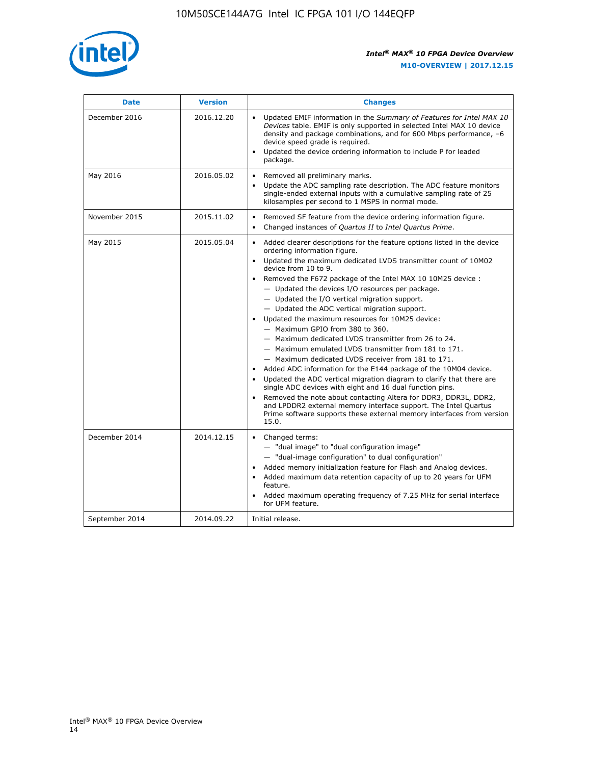

| <b>Date</b>    | <b>Version</b> | <b>Changes</b>                                                                                                                                                                                                                                                                                                                                                                                                                                                                                                                                                                                                                                                                                                                                                                                                                                                                                                                                                                                                                                                                                                  |  |
|----------------|----------------|-----------------------------------------------------------------------------------------------------------------------------------------------------------------------------------------------------------------------------------------------------------------------------------------------------------------------------------------------------------------------------------------------------------------------------------------------------------------------------------------------------------------------------------------------------------------------------------------------------------------------------------------------------------------------------------------------------------------------------------------------------------------------------------------------------------------------------------------------------------------------------------------------------------------------------------------------------------------------------------------------------------------------------------------------------------------------------------------------------------------|--|
| December 2016  | 2016.12.20     | • Updated EMIF information in the Summary of Features for Intel MAX 10<br>Devices table. EMIF is only supported in selected Intel MAX 10 device<br>density and package combinations, and for 600 Mbps performance, -6<br>device speed grade is required.<br>Updated the device ordering information to include P for leaded<br>package.                                                                                                                                                                                                                                                                                                                                                                                                                                                                                                                                                                                                                                                                                                                                                                         |  |
| May 2016       | 2016.05.02     | Removed all preliminary marks.<br>Update the ADC sampling rate description. The ADC feature monitors<br>single-ended external inputs with a cumulative sampling rate of 25<br>kilosamples per second to 1 MSPS in normal mode.                                                                                                                                                                                                                                                                                                                                                                                                                                                                                                                                                                                                                                                                                                                                                                                                                                                                                  |  |
| November 2015  | 2015.11.02     | Removed SF feature from the device ordering information figure.<br>Changed instances of Quartus II to Intel Quartus Prime.<br>$\bullet$                                                                                                                                                                                                                                                                                                                                                                                                                                                                                                                                                                                                                                                                                                                                                                                                                                                                                                                                                                         |  |
| May 2015       | 2015.05.04     | Added clearer descriptions for the feature options listed in the device<br>ordering information figure.<br>Updated the maximum dedicated LVDS transmitter count of 10M02<br>device from 10 to 9.<br>Removed the F672 package of the Intel MAX 10 10M25 device :<br>- Updated the devices I/O resources per package.<br>- Updated the I/O vertical migration support.<br>- Updated the ADC vertical migration support.<br>Updated the maximum resources for 10M25 device:<br>- Maximum GPIO from 380 to 360.<br>- Maximum dedicated LVDS transmitter from 26 to 24.<br>- Maximum emulated LVDS transmitter from 181 to 171.<br>- Maximum dedicated LVDS receiver from 181 to 171.<br>Added ADC information for the E144 package of the 10M04 device.<br>Updated the ADC vertical migration diagram to clarify that there are<br>single ADC devices with eight and 16 dual function pins.<br>Removed the note about contacting Altera for DDR3, DDR3L, DDR2,<br>and LPDDR2 external memory interface support. The Intel Quartus<br>Prime software supports these external memory interfaces from version<br>15.0. |  |
| December 2014  | 2014.12.15     | Changed terms:<br>- "dual image" to "dual configuration image"<br>- "dual-image configuration" to dual configuration"<br>Added memory initialization feature for Flash and Analog devices.<br>Added maximum data retention capacity of up to 20 years for UFM<br>feature.<br>Added maximum operating frequency of 7.25 MHz for serial interface<br>for UFM feature.                                                                                                                                                                                                                                                                                                                                                                                                                                                                                                                                                                                                                                                                                                                                             |  |
| September 2014 | 2014.09.22     | Initial release.                                                                                                                                                                                                                                                                                                                                                                                                                                                                                                                                                                                                                                                                                                                                                                                                                                                                                                                                                                                                                                                                                                |  |